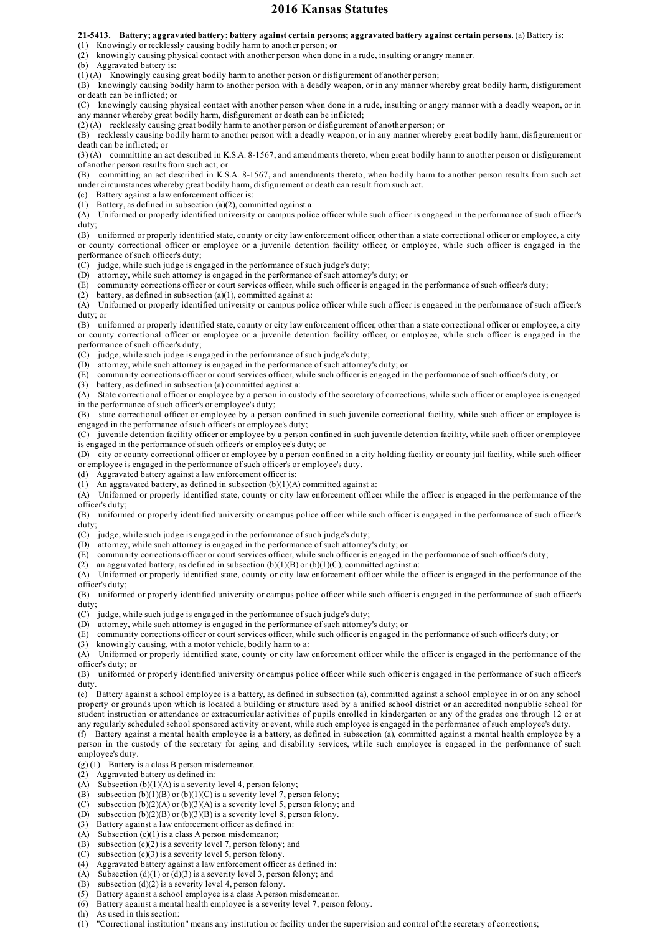## **2016 Kansas Statutes**

**21-5413. Battery; aggravated battery; battery against certain persons; aggravated battery against certain persons.** (a) Battery is:

(1) Knowingly or recklessly causing bodily harm to another person; or

(2) knowingly causing physical contact with another person when done in a rude, insulting or angry manner.

(b) Aggravated battery is:

(1) (A) Knowingly causing great bodily harm to another person or disfigurement of another person;

(B) knowingly causing bodily harm to another person with a deadly weapon, or in any manner whereby great bodily harm, disfigurement or death can be inflicted; or

(C) knowingly causing physical contact with another person when done in a rude, insulting or angry manner with a deadly weapon, or in any manner whereby great bodily harm, disfigurement or death can be inflicted;

(2) (A) recklessly causing great bodily harm to another person or disfigurement of another person; or

(B) recklessly causing bodily harm to another person with a deadly weapon, or in any manner whereby great bodily harm, disfigurement or death can be inflicted; or

(3) (A) committing an act described in K.S.A. 8-1567, and amendments thereto, when great bodily harm to another person or disfigurement of another person results from such act; or

(B) committing an act described in K.S.A. 8-1567, and amendments thereto, when bodily harm to another person results from such act under circumstances whereby great bodily harm, disfigurement or death can result from such act.

(c) Battery against a law enforcement officer is:

(1) Battery, as defined in subsection (a)(2), committed against a:

(A) Uniformed or properly identified university or campus police officer while such officer is engaged in the performance of such officer's duty;

(B) uniformed or properly identified state, county or city law enforcement officer, other than a state correctional officer or employee, a city or county correctional officer or employee or a juvenile detention facility officer, or employee, while such officer is engaged in the performance of such officer's duty;

(C) judge, while such judge is engaged in the performance of such judge's duty;

(D) attorney, while such attorney is engaged in the performance of such attorney's duty; or

(E) community corrections officer or court services officer, while such officer is engaged in the performance of such officer's duty;

(2) battery, as defined in subsection  $(a)(1)$ , committed against a:

(A) Uniformed or properly identified university or campus police officer while such officer is engaged in the performance of such officer's duty; or

(B) uniformed or properly identified state, county or city law enforcement officer, other than a state correctional officer or employee, a city or county correctional officer or employee or a juvenile detention facility officer, or employee, while such officer is engaged in the performance of such officer's duty;

(C) judge, while such judge is engaged in the performance of such judge's duty;

(D) attorney, while such attorney is engaged in the performance of such attorney's duty; or

(E) community corrections officer or court services officer, while such officer is engaged in the performance of such officer's duty; or

(3) battery, as defined in subsection (a) committed against a:

(A) State correctional officer or employee by a person in custody of the secretary of corrections, while such officer or employee is engaged in the performance of such officer's or employee's duty;

(B) state correctional officer or employee by a person confined in such juvenile correctional facility, while such officer or employee is engaged in the performance of such officer's or employee's duty;

(C) juvenile detention facility officer or employee by a person confined in such juvenile detention facility, while such officer or employee is engaged in the performance of such officer's or employee's duty; or

(D) city or county correctional officer or employee by a person confined in a city holding facility or county jail facility, while such officer or employee is engaged in the performance of such officer's or employee's duty.

(d) Aggravated battery against a law enforcement officer is:

(1) An aggravated battery, as defined in subsection (b)(1)(A) committed against a:

(A) Uniformed or properly identified state, county or city law enforcement officer while the officer is engaged in the performance of the officer's duty;

(B) uniformed or properly identified university or campus police officer while such officer is engaged in the performance of such officer's duty;

(C) judge, while such judge is engaged in the performance of such judge's duty;

(D) attorney, while such attorney is engaged in the performance of such attorney's duty; or

(E) community corrections officer or court services officer, while such officer is engaged in the performance of such officer's duty;

(2) an aggravated battery, as defined in subsection  $(b)(1)(B)$  or  $(b)(1)(C)$ , committed against a:

(A) Uniformed or properly identified state, county or city law enforcement officer while the officer is engaged in the performance of the officer's duty;

(B) uniformed or properly identified university or campus police officer while such officer is engaged in the performance of such officer's duty;

(C) judge, while such judge is engaged in the performance of such judge's duty;

(D) attorney, while such attorney is engaged in the performance of such attorney's duty; or

(E) community corrections officer or court services officer, while such officer is engaged in the performance of such officer's duty; or

(3) knowingly causing, with a motor vehicle, bodily harm to a:

(A) Uniformed or properly identified state, county or city law enforcement officer while the officer is engaged in the performance of the officer's duty; or

(B) uniformed or properly identified university or campus police officer while such officer is engaged in the performance of such officer's duty.

(e) Battery against a school employee is a battery, as defined in subsection (a), committed against a school employee in or on any school property or grounds upon which is located a building or structure used by a unified school district or an accredited nonpublic school for student instruction or attendance or extracurricular activities of pupils enrolled in kindergarten or any of the grades one through 12 or at any regularly scheduled school sponsored activity or event, while such employee is engaged in the performance of such employee's duty.

(f) Battery against a mental health employee is a battery, as defined in subsection (a), committed against a mental health employee by a person in the custody of the secretary for aging and disability services, while such employee is engaged in the performance of such employee's duty.

 $(g)(1)$  Battery is a class B person misdemeanor.

(2) Aggravated battery as defined in:

- (A) Subsection (b)(1)(A) is a severity level 4, person felony;
- (B) subsection  $(b)(1)(B)$  or  $(b)(1)(C)$  is a severity level 7, person felony;
- (C) subsection  $(b)(2)(A)$  or  $(b)(3)(A)$  is a severity level 5, person felony; and
- (D) subsection  $(b)(2)(B)$  or  $(b)(3)(B)$  is a severity level 8, person felony.
- (3) Battery against a law enforcement officer as defined in:
- (A) Subsection  $(c)(1)$  is a class A person misdemeanor;
- (B) subsection  $(c)(2)$  is a severity level 7, person felony; and
- (C) subsection (c)(3) is a severity level 5, person felony.
- (4) Aggravated battery against a law enforcement officer as defined in:
- (A) Subsection (d)(1) or (d)(3) is a severity level 3, person felony; and
- (B) subsection  $(d)(2)$  is a severity level 4, person felony.
- (5) Battery against a school employee is a class A person misdemeanor.
- (6) Battery against a mental health employee is a severity level 7, person felony.
- (h) As used in this section:
- (1) "Correctional institution" means any institution or facility under the supervision and control of the secretary of corrections;